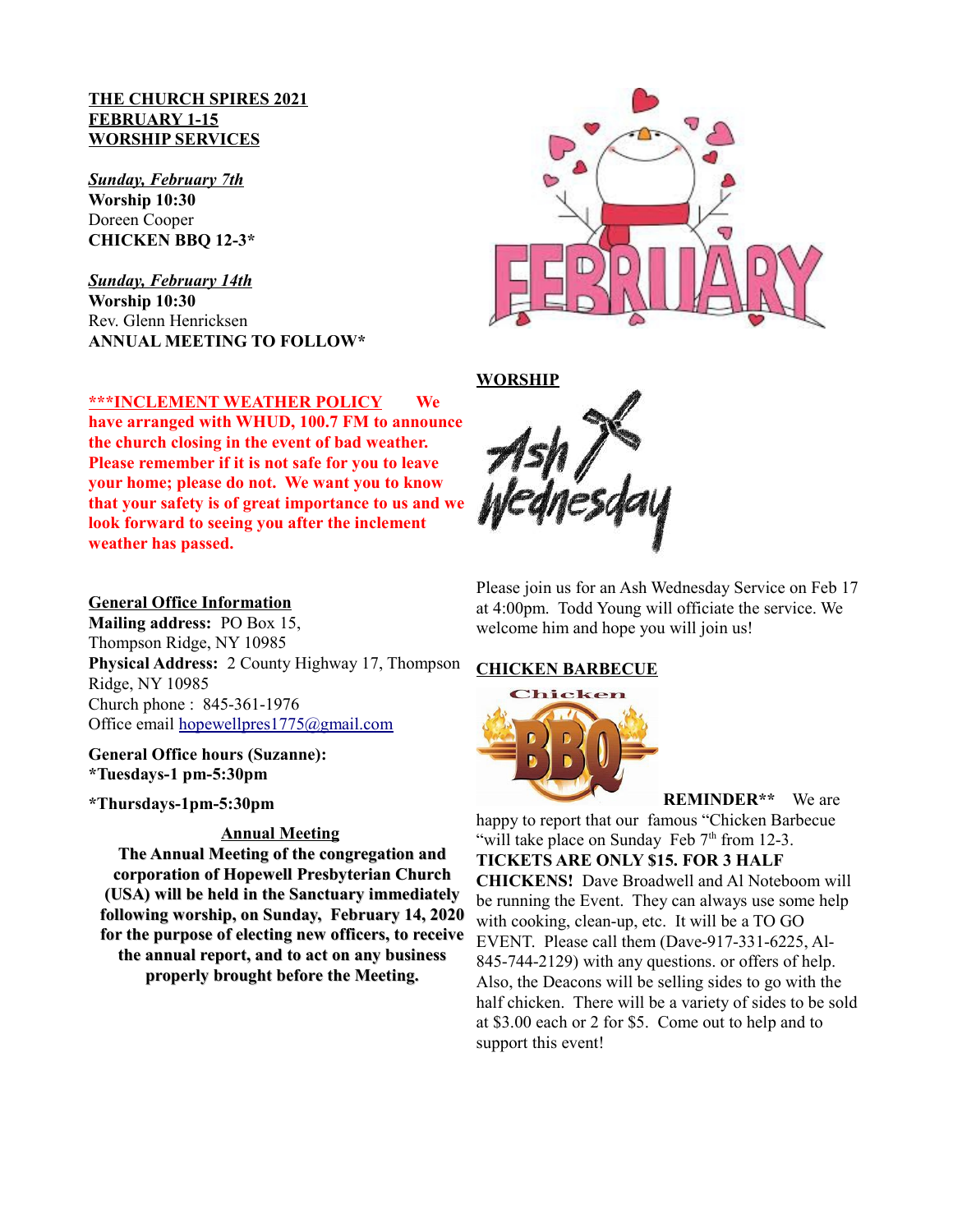#### **THE CHURCH SPIRES 2021 FEBRUARY 1-15 WORSHIP SERVICES**

*Sunday, February 7th* **Worship 10:30**  Doreen Cooper **CHICKEN BBQ 12-3\***

*Sunday, February 14th* **Worship 10:30**  Rev. Glenn Henricksen **ANNUAL MEETING TO FOLLOW\***



# **\*\*\*INCLEMENT WEATHER POLICY We**

**have arranged with WHUD, 100.7 FM to announce the church closing in the event of bad weather. Please remember if it is not safe for you to leave your home; please do not. We want you to know that your safety is of great importance to us and we look forward to seeing you after the inclement weather has passed.**

#### **General Office Information**

**Mailing address:** PO Box 15, Thompson Ridge, NY 10985 **Physical Address:** 2 County Highway 17, Thompson Ridge, NY 10985 Church phone : 845-361-1976 Office email hopewellpres1775@gmail.com

**General Office hours (Suzanne): \*Tuesdays-1 pm-5:30pm** 

**\*Thursdays-1pm-5:30pm** 

#### **Annual Meeting**

**The Annual Meeting of the congregation and corporation of Hopewell Presbyterian Church (USA) will be held in the Sanctuary immediately following worship, on Sunday, February 14, 2020 for the purpose of electing new officers, to receive the annual report, and to act on any business properly brought before the Meeting.**



Please join us for an Ash Wednesday Service on Feb 17 at 4:00pm. Todd Young will officiate the service. We welcome him and hope you will join us!

#### **CHICKEN BARBECUE**



**REMINDER\*\*** We are

happy to report that our famous "Chicken Barbecue "will take place on Sunday Feb  $7<sup>th</sup>$  from 12-3.

**TICKETS ARE ONLY \$15. FOR 3 HALF CHICKENS!** Dave Broadwell and Al Noteboom will be running the Event. They can always use some help with cooking, clean-up, etc. It will be a TO GO EVENT. Please call them (Dave-917-331-6225, Al-845-744-2129) with any questions. or offers of help. Also, the Deacons will be selling sides to go with the half chicken. There will be a variety of sides to be sold at \$3.00 each or 2 for \$5. Come out to help and to support this event!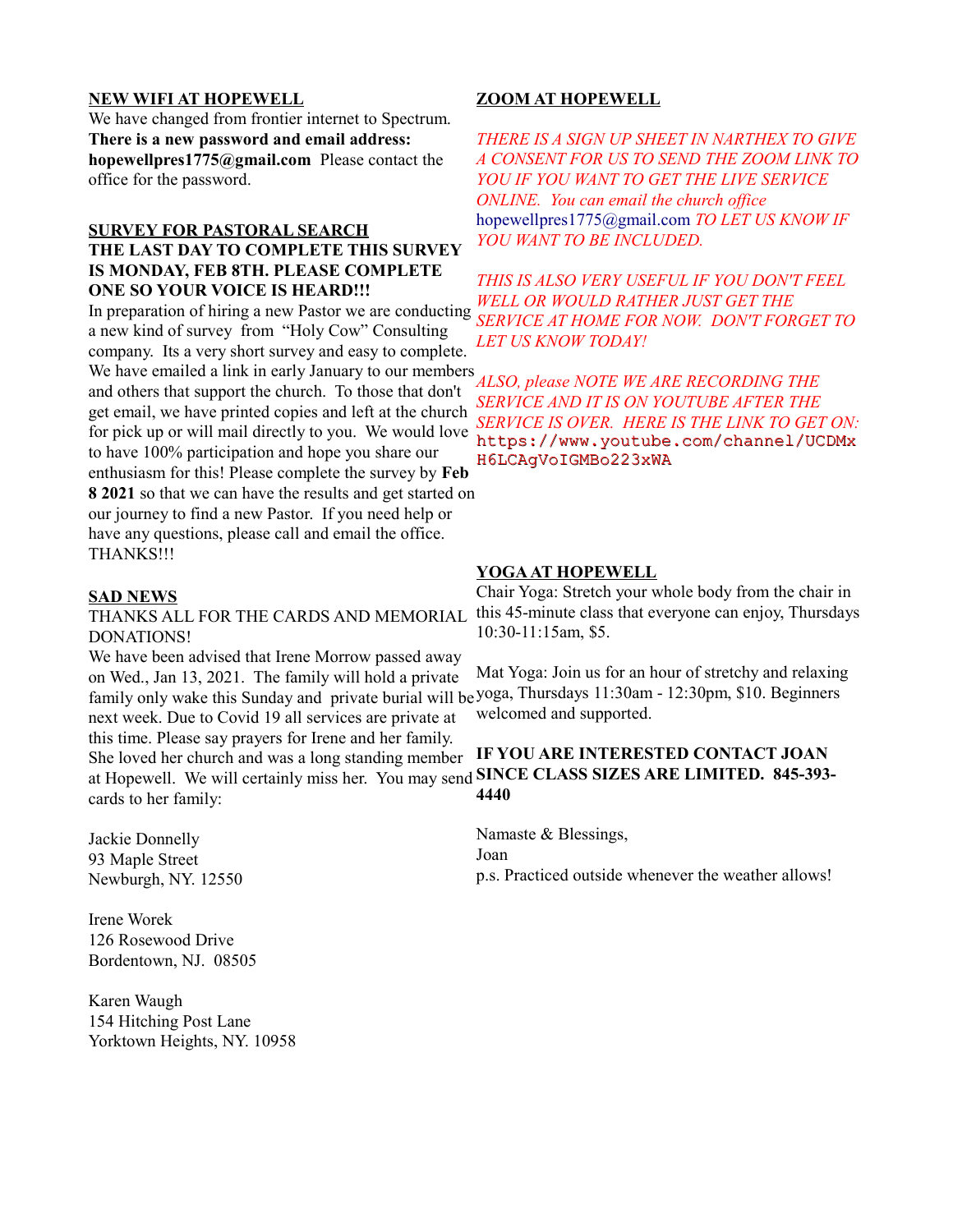#### **NEW WIFI AT HOPEWELL**

We have changed from frontier internet to Spectrum. **There is a new password and email address: hopewellpres1775@gmail.com** Please contact the office for the password.

#### **SURVEY FOR PASTORAL SEARCH THE LAST DAY TO COMPLETE THIS SURVEY IS MONDAY, FEB 8TH. PLEASE COMPLETE ONE SO YOUR VOICE IS HEARD!!!**

In preparation of hiring a new Pastor we are conducting a new kind of survey from "Holy Cow" Consulting company. Its a very short survey and easy to complete. We have emailed a link in early January to our members and others that support the church. To those that don't get email, we have printed copies and left at the church for pick up or will mail directly to you. We would love to have 100% participation and hope you share our enthusiasm for this! Please complete the survey by **Feb 8 2021** so that we can have the results and get started on our journey to find a new Pastor. If you need help or have any questions, please call and email the office. THANKS!!!

#### **SAD NEWS**

# DONATIONS!

We have been advised that Irene Morrow passed away on Wed., Jan 13, 2021. The family will hold a private family only wake this Sunday and private burial will be yoga, Thursdays 11:30am - 12:30pm, \$10. Beginners next week. Due to Covid 19 all services are private at this time. Please say prayers for Irene and her family.

She loved her church and was a long standing member at Hopewell. We will certainly miss her. You may send **SINCE CLASS SIZES ARE LIMITED. 845-393** cards to her family:

Jackie Donnelly 93 Maple Street Newburgh, NY. 12550

Irene Worek 126 Rosewood Drive Bordentown, NJ. 08505

Karen Waugh 154 Hitching Post Lane Yorktown Heights, NY. 10958

#### **ZOOM AT HOPEWELL**

*THERE IS A SIGN UP SHEET IN NARTHEX TO GIVE A CONSENT FOR US TO SEND THE ZOOM LINK TO YOU IF YOU WANT TO GET THE LIVE SERVICE ONLINE. You can email the church office*  hopewellpres1775@gmail.com *TO LET US KNOW IF YOU WANT TO BE INCLUDED.*

*THIS IS ALSO VERY USEFUL IF YOU DON'T FEEL WELL OR WOULD RATHER JUST GET THE SERVICE AT HOME FOR NOW. DON'T FORGET TO LET US KNOW TODAY!*

*ALSO, please NOTE WE ARE RECORDING THE SERVICE AND IT IS ON YOUTUBE AFTER THE SERVICE IS OVER. HERE IS THE LINK TO GET ON:* https://www.youtube.com/channel/UCDMx H6LCAgVoIGMBo223xWA

#### **YOGA AT HOPEWELL**

THANKS ALL FOR THE CARDS AND MEMORIAL this 45-minute class that everyone can enjoy, Thursdays Chair Yoga: Stretch your whole body from the chair in 10:30-11:15am, \$5.

> Mat Yoga: Join us for an hour of stretchy and relaxing welcomed and supported.

# **IF YOU ARE INTERESTED CONTACT JOAN 4440**

Namaste & Blessings, Joan p.s. Practiced outside whenever the weather allows!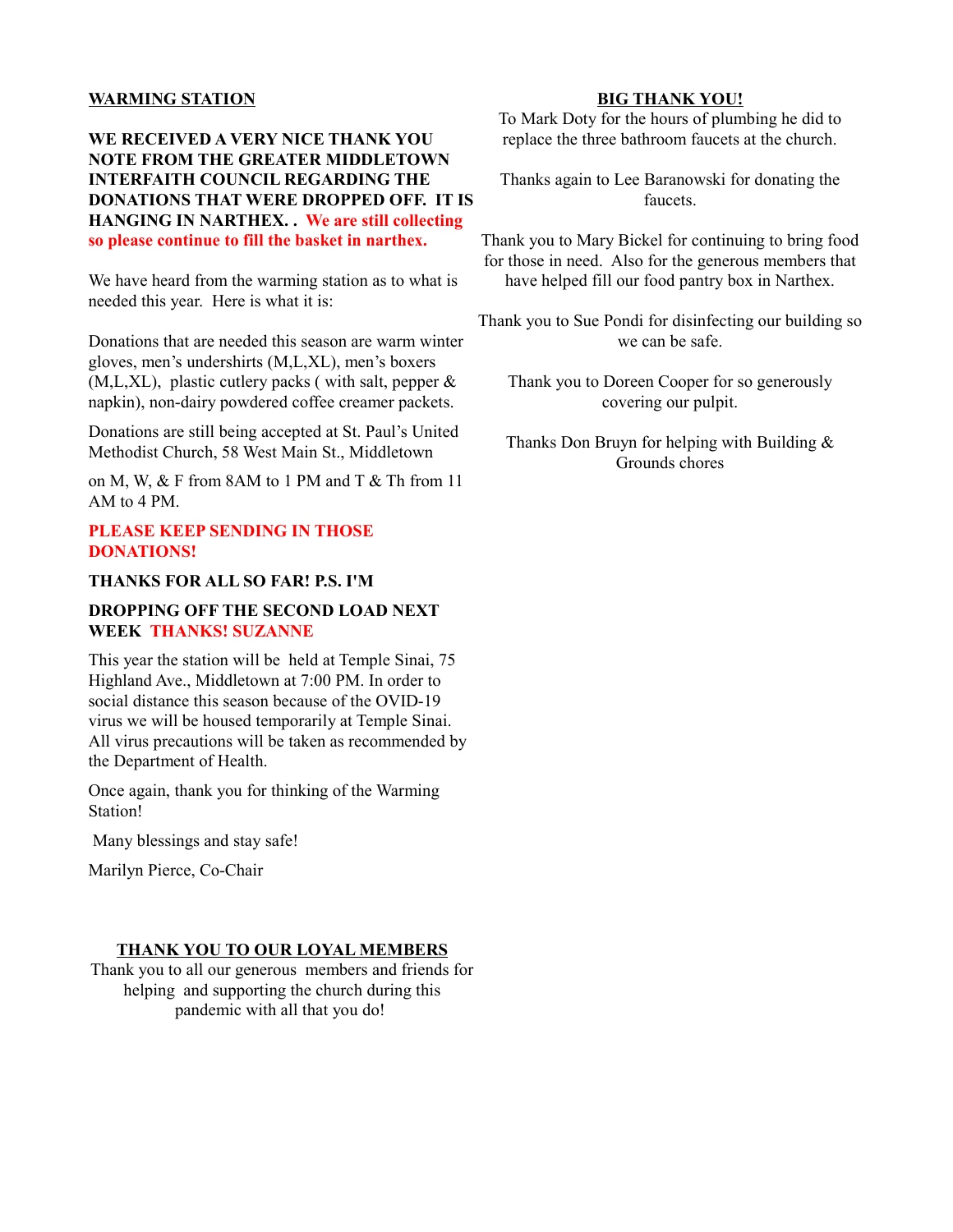#### **WARMING STATION**

**WE RECEIVED A VERY NICE THANK YOU NOTE FROM THE GREATER MIDDLETOWN INTERFAITH COUNCIL REGARDING THE DONATIONS THAT WERE DROPPED OFF. IT IS HANGING IN NARTHEX. . We are still collecting so please continue to fill the basket in narthex.**

We have heard from the warming station as to what is needed this year. Here is what it is:

Donations that are needed this season are warm winter gloves, men's undershirts (M,L,XL), men's boxers  $(M,L,XL)$ , plastic cutlery packs (with salt, pepper  $\&$ napkin), non-dairy powdered coffee creamer packets.

Donations are still being accepted at St. Paul's United Methodist Church, 58 West Main St., Middletown

on M, W, & F from 8AM to 1 PM and T & Th from 11 AM to 4 PM.

#### **PLEASE KEEP SENDING IN THOSE DONATIONS!**

#### **THANKS FOR ALL SO FAR! P.S. I'M**

#### **DROPPING OFF THE SECOND LOAD NEXT WEEK THANKS! SUZANNE**

This year the station will be held at Temple Sinai, 75 Highland Ave., Middletown at 7:00 PM. In order to social distance this season because of the OVID-19 virus we will be housed temporarily at Temple Sinai. All virus precautions will be taken as recommended by the Department of Health.

Once again, thank you for thinking of the Warming Station!

Many blessings and stay safe!

Marilyn Pierce, Co-Chair

#### **THANK YOU TO OUR LOYAL MEMBERS**

Thank you to all our generous members and friends for helping and supporting the church during this pandemic with all that you do!

#### **BIG THANK YOU!**

To Mark Doty for the hours of plumbing he did to replace the three bathroom faucets at the church.

Thanks again to Lee Baranowski for donating the faucets.

Thank you to Mary Bickel for continuing to bring food for those in need. Also for the generous members that have helped fill our food pantry box in Narthex.

Thank you to Sue Pondi for disinfecting our building so we can be safe.

Thank you to Doreen Cooper for so generously covering our pulpit.

Thanks Don Bruyn for helping with Building & Grounds chores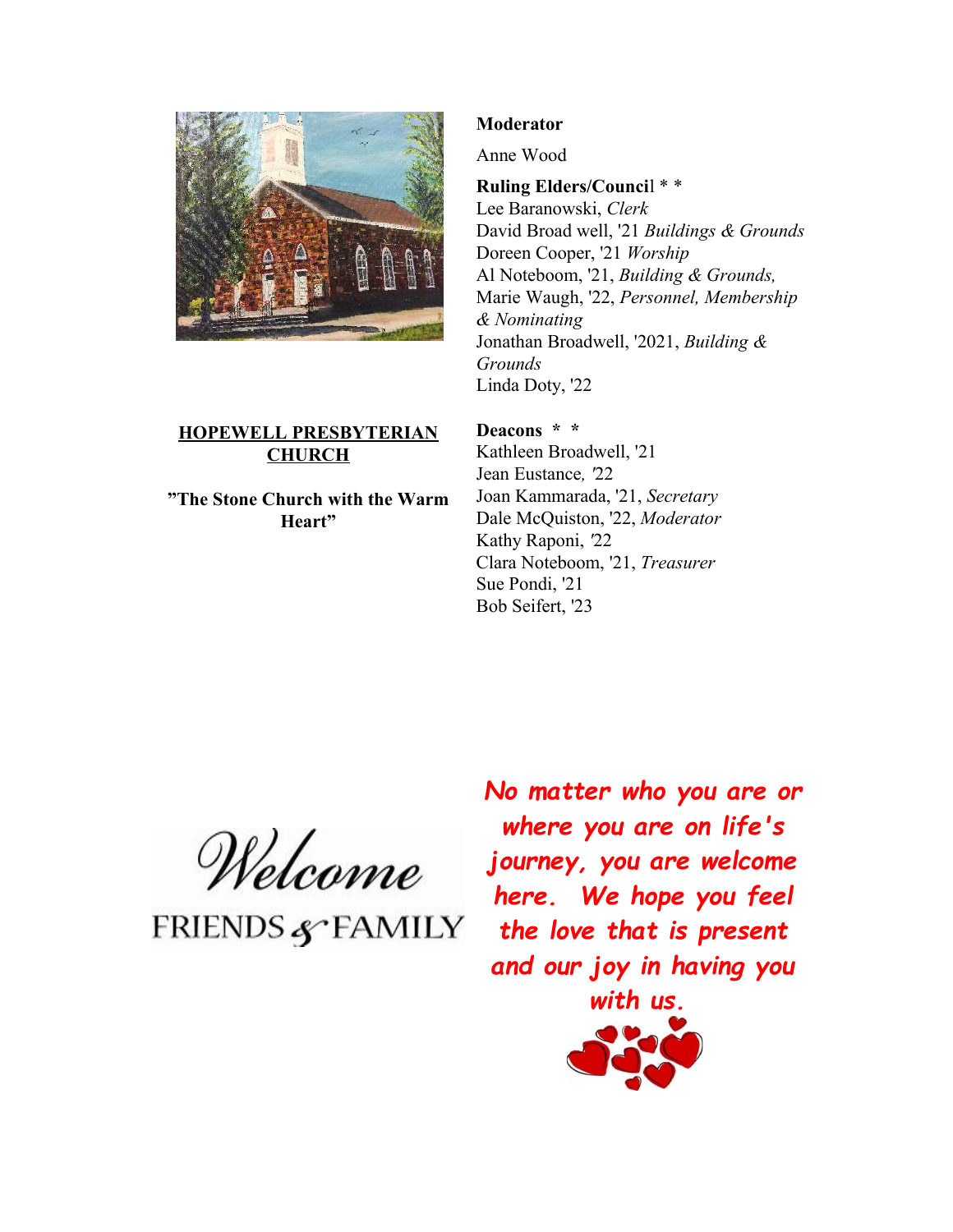

# **HOPEWELL PRESBYTERIAN CHURCH**

**"The Stone Church with the Warm Heart"**

# **Moderator**

Anne Wood

**Ruling Elders/Counci**l \* \*

Lee Baranowski, *Clerk* David Broad well, '21 *Buildings & Grounds*  Doreen Cooper, '21 *Worship* Al Noteboom, '21, *Building & Grounds,*  Marie Waugh, '22, *Personnel, Membership & Nominating* Jonathan Broadwell, '2021, *Building & Grounds* Linda Doty, '22

**Deacons \* \*** 

Kathleen Broadwell, '21 Jean Eustance*, '*22 Joan Kammarada, '21, *Secretary*  Dale McQuiston, '22, *Moderator*  Kathy Raponi, *'*22 Clara Noteboom, '21, *Treasurer*  Sue Pondi, '21 Bob Seifert, '23

Welcome

**FRIENDS & FAMILY** 

*No matter who you are or where you are on life's journey, you are welcome here. We hope you feel the love that is present and our joy in having you*

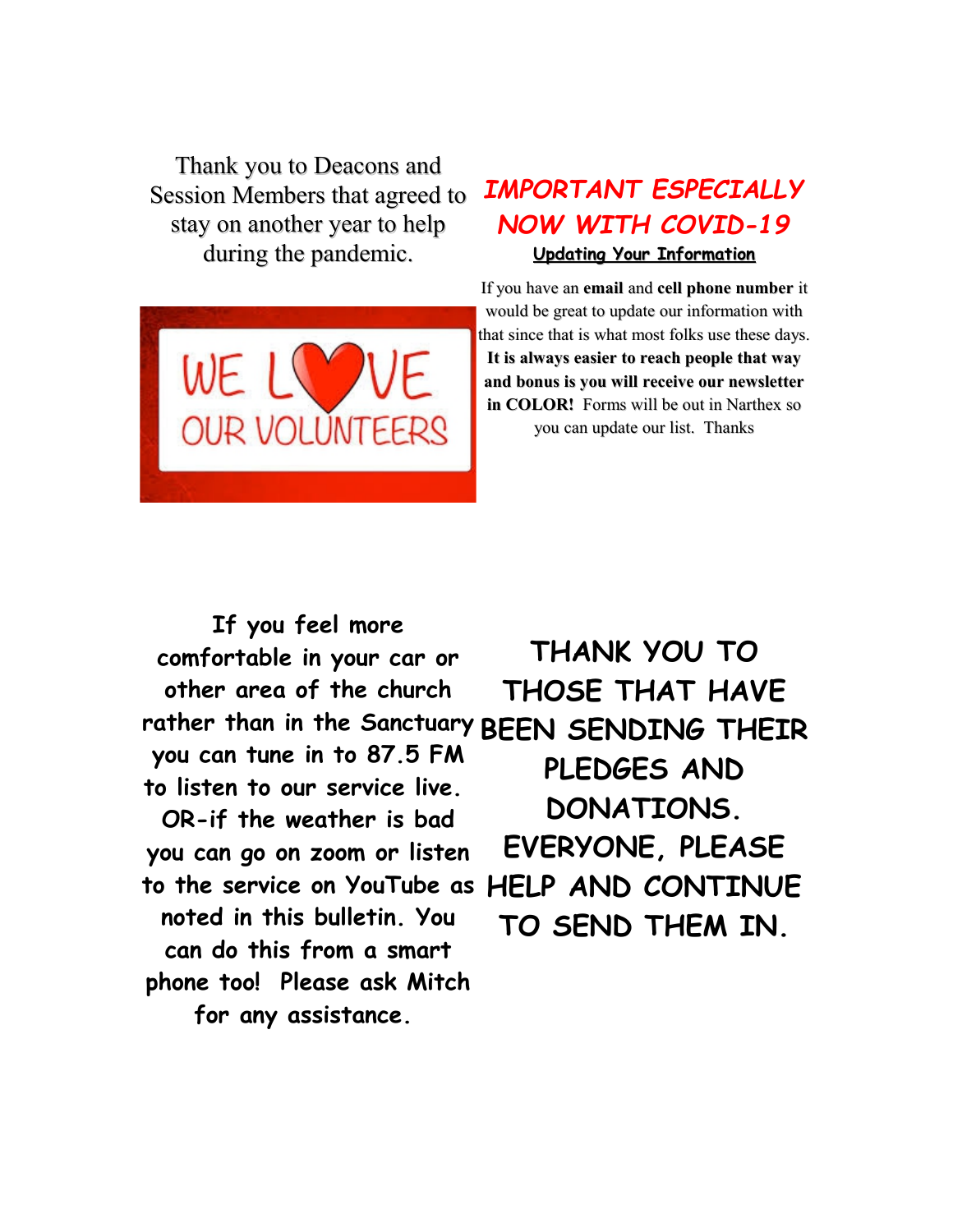Thank you to Deacons and Session Members that agreed to stay on another year to help during the pandemic.

**OUR VOLUNTEERS** 



**It is always easier to reach people that way and bonus is you will receive our newsletter in COLOR!** Forms will be out in Narthex so you can update our list. Thanks

*IMPORTANT ESPECIALLY*

*NOW WITH COVID-19*

**If you feel more comfortable in your car or other area of the church rather than in the Sanctuary BEEN SENDING THEIR you can tune in to 87.5 FM to listen to our service live. OR-if the weather is bad you can go on zoom or listen to the service on YouTube as noted in this bulletin. You can do this from a smart phone too! Please ask Mitch THANK YOU TO**

**for any assistance.** 

**THOSE THAT HAVE PLEDGES AND DONATIONS. EVERYONE, PLEASE HELP AND CONTINUE TO SEND THEM IN.**